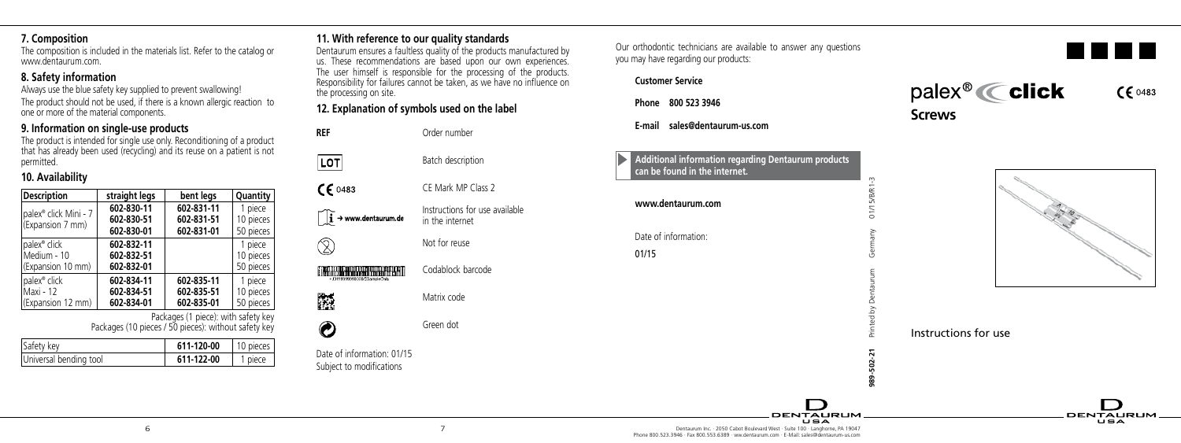## **7. Composition**

The composition is included in the materials list. Refer to the catalog or www.dentaurum.com.

# **8. Safety information**

Always use the blue safety key supplied to prevent swallowing! The product should not be used, if there is a known allergic reaction to one or more of the material components.

# **9. Information on single-use products**

The product is intended for single use only. Reconditioning of a product that has already been used (recycling) and its reuse on a patient is not permitted.

# **10. Availability**

| <b>Description</b>                                    | straight legs                          | bent legs                              | Quantity                          |
|-------------------------------------------------------|----------------------------------------|----------------------------------------|-----------------------------------|
| palex <sup>®</sup> click Mini - 7<br>(Expansion 7 mm) | 602-830-11<br>602-830-51<br>602-830-01 | 602-831-11<br>602-831-51<br>602-831-01 | 1 piece<br>10 pieces<br>50 pieces |
| palex <sup>®</sup> click                              | 602-832-11                             |                                        | 1 piece                           |
| Medium - 10                                           | 602-832-51                             |                                        | 10 pieces                         |
| (Expansion 10 mm)                                     | 602-832-01                             |                                        | 50 pieces                         |
| palex <sup>®</sup> click                              | 602-834-11                             | 602-835-11                             | 1 piece                           |
| l Maxi - 12                                           | 602-834-51                             | 602-835-51                             | 10 pieces                         |
| (Expansion 12 mm)                                     | 602-834-01                             | 602-835-01                             | 50 pieces                         |

Packages (1 piece): with safety key Packages (10 pieces / 50 pieces): without safety key

| Safety key             | 611-120-00 | 10 pieces |
|------------------------|------------|-----------|
| Universal bending tool | 611-122-00 | 1 niece   |

# **11. With reference to our quality standards**

Dentaurum ensures a faultless quality of the products manufactured by us. These recommendations are based upon our own experiences. The user himself is responsible for the processing of the products. Responsibility for failures cannot be taken, as we have no influence on the processing on site.

# **12. Explanation of symbols used on the label**

**REF** Order number Batch description

CE Mark MP Class 2 Instructions for use available  $\mathbf{i} \rightarrow$  www.dentaurum.de in the internet

Not for reuse

Codablock barcode

7

Matrix code

Green dot

Date of information: 01/15 Subject to modifications

**ENGLE REQUIRED BY A 1991** 

LOT  $CF 0483$ 

 $\circledR$ 

隐  $\odot$ 

Our orthodontic technicians are available to answer any questions you may have regarding our products:

**Customer Service**

**Phone 800 523 3946**

**E-mail sales@dentaurum-us.com**

## **Additional information regarding Dentaurum products can be found in the internet.**

| www.dentaurum.com |
|-------------------|
|                   |

Date of information: 01/15





 $CE 0483$ 



**DENTALIBUE** 

ਾਵਨ

Instructions for use

**989-502-21** Printed by Dentaurum Germany 01/15/B/R1-3



**DENTALIBLIM** 

∴ਵਨ

6